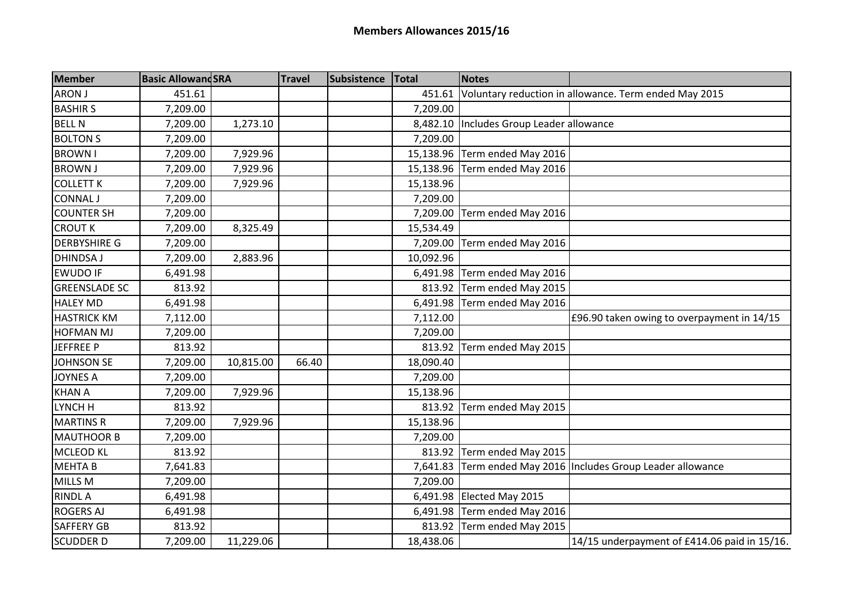| <b>Member</b>        | <b>Basic AllowandSRA</b> |           | <b>Travel</b> | Subsistence | <b>Total</b> | <b>Notes</b>                               |                                                       |
|----------------------|--------------------------|-----------|---------------|-------------|--------------|--------------------------------------------|-------------------------------------------------------|
| ARON J               | 451.61                   |           |               |             | 451.61       |                                            | Voluntary reduction in allowance. Term ended May 2015 |
| <b>BASHIRS</b>       | 7,209.00                 |           |               |             | 7,209.00     |                                            |                                                       |
| <b>BELL N</b>        | 7,209.00                 | 1,273.10  |               |             |              | 8,482.10   Includes Group Leader allowance |                                                       |
| <b>BOLTON S</b>      | 7,209.00                 |           |               |             | 7,209.00     |                                            |                                                       |
| <b>BROWN I</b>       | 7,209.00                 | 7,929.96  |               |             |              | 15,138.96 Term ended May 2016              |                                                       |
| <b>BROWN J</b>       | 7,209.00                 | 7,929.96  |               |             | 15,138.96    | Term ended May 2016                        |                                                       |
| <b>COLLETT K</b>     | 7,209.00                 | 7,929.96  |               |             | 15,138.96    |                                            |                                                       |
| <b>CONNAL J</b>      | 7,209.00                 |           |               |             | 7,209.00     |                                            |                                                       |
| <b>COUNTER SH</b>    | 7,209.00                 |           |               |             | 7,209.00     | Term ended May 2016                        |                                                       |
| <b>CROUT K</b>       | 7,209.00                 | 8,325.49  |               |             | 15,534.49    |                                            |                                                       |
| <b>DERBYSHIRE G</b>  | 7,209.00                 |           |               |             | 7,209.00     | Term ended May 2016                        |                                                       |
| <b>DHINDSA J</b>     | 7,209.00                 | 2,883.96  |               |             | 10,092.96    |                                            |                                                       |
| <b>EWUDO IF</b>      | 6,491.98                 |           |               |             | 6,491.98     | Term ended May 2016                        |                                                       |
| <b>GREENSLADE SC</b> | 813.92                   |           |               |             |              | 813.92 Term ended May 2015                 |                                                       |
| <b>HALEY MD</b>      | 6,491.98                 |           |               |             | 6,491.98     | Term ended May 2016                        |                                                       |
| <b>HASTRICK KM</b>   | 7,112.00                 |           |               |             | 7,112.00     |                                            | £96.90 taken owing to overpayment in 14/15            |
| <b>HOFMAN MJ</b>     | 7,209.00                 |           |               |             | 7,209.00     |                                            |                                                       |
| <b>JEFFREE P</b>     | 813.92                   |           |               |             | 813.92       | Term ended May 2015                        |                                                       |
| <b>JOHNSON SE</b>    | 7,209.00                 | 10,815.00 | 66.40         |             | 18,090.40    |                                            |                                                       |
| <b>JOYNES A</b>      | 7,209.00                 |           |               |             | 7,209.00     |                                            |                                                       |
| <b>KHAN A</b>        | 7,209.00                 | 7,929.96  |               |             | 15,138.96    |                                            |                                                       |
| LYNCH H              | 813.92                   |           |               |             | 813.92       | Term ended May 2015                        |                                                       |
| <b>MARTINS R</b>     | 7,209.00                 | 7,929.96  |               |             | 15,138.96    |                                            |                                                       |
| <b>MAUTHOOR B</b>    | 7,209.00                 |           |               |             | 7,209.00     |                                            |                                                       |
| <b>MCLEOD KL</b>     | 813.92                   |           |               |             | 813.92       | Term ended May 2015                        |                                                       |
| <b>MEHTAB</b>        | 7,641.83                 |           |               |             | 7,641.83     |                                            | Term ended May 2016 Includes Group Leader allowance   |
| MILLS M              | 7,209.00                 |           |               |             | 7,209.00     |                                            |                                                       |
| <b>RINDLA</b>        | 6,491.98                 |           |               |             |              | 6,491.98 Elected May 2015                  |                                                       |
| <b>ROGERS AJ</b>     | 6,491.98                 |           |               |             |              | 6,491.98 Term ended May 2016               |                                                       |
| <b>SAFFERY GB</b>    | 813.92                   |           |               |             | 813.92       | Term ended May 2015                        |                                                       |
| <b>SCUDDER D</b>     | 7,209.00                 | 11,229.06 |               |             | 18,438.06    |                                            | 14/15 underpayment of £414.06 paid in 15/16.          |